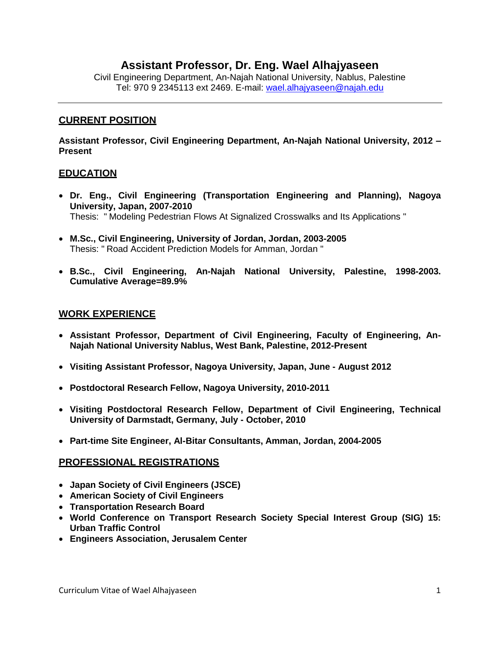# **Assistant Professor, Dr. Eng. Wael Alhajyaseen**

Civil Engineering Department, An-Najah National University, Nablus, Palestine Tel: 970 9 2345113 ext 2469. E-mail: [wael.alhajyaseen@najah.edu](mailto:sameeraa@najah.edu)

## **CURRENT POSITION**

**Assistant Professor, Civil Engineering Department, An-Najah National University, 2012 – Present**

## **EDUCATION**

- **Dr. Eng., Civil Engineering (Transportation Engineering and Planning), Nagoya University, Japan, 2007-2010** Thesis: " Modeling Pedestrian Flows At Signalized Crosswalks and Its Applications "
- **M.Sc., Civil Engineering, University of Jordan, Jordan, 2003-2005** Thesis: " Road Accident Prediction Models for Amman, Jordan "
- **B.Sc., Civil Engineering, An-Najah National University, Palestine, 1998-2003. Cumulative Average=89.9%**

## **WORK EXPERIENCE**

- **Assistant Professor, Department of Civil Engineering, Faculty of Engineering, An-Najah National University Nablus, West Bank, Palestine, 2012-Present**
- **Visiting Assistant Professor, Nagoya University, Japan, June - August 2012**
- **Postdoctoral Research Fellow, Nagoya University, 2010-2011**
- **Visiting Postdoctoral Research Fellow, Department of Civil Engineering, Technical University of Darmstadt, Germany, July - October, 2010**
- **Part-time Site Engineer, Al-Bitar Consultants, Amman, Jordan, 2004-2005**

## **PROFESSIONAL REGISTRATIONS**

- **Japan Society of Civil Engineers (JSCE)**
- **American Society of Civil Engineers**
- **Transportation Research Board**
- **World Conference on Transport Research Society Special Interest Group (SIG) 15: Urban Traffic Control**
- **Engineers Association, Jerusalem Center**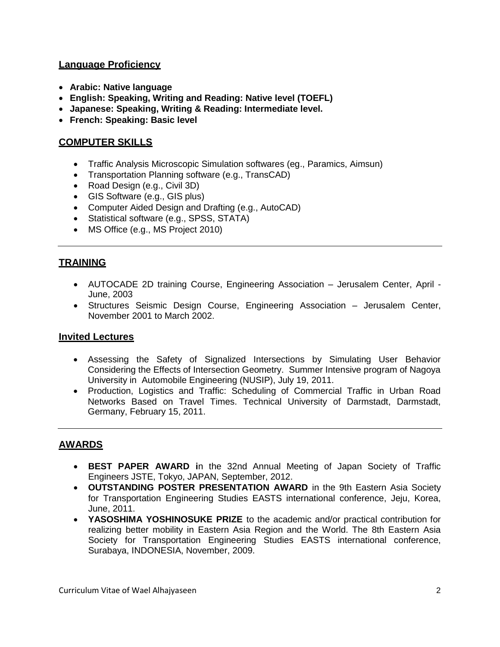# **Language Proficiency**

- **Arabic: Native language**
- **English: Speaking, Writing and Reading: Native level (TOEFL)**
- **Japanese: Speaking, Writing & Reading: Intermediate level.**
- **French: Speaking: Basic level**

# **COMPUTER SKILLS**

- Traffic Analysis Microscopic Simulation softwares (eg., Paramics, Aimsun)
- Transportation Planning software (e.g., TransCAD)
- Road Design (e.g., Civil 3D)
- GIS Software (e.g., GIS plus)
- Computer Aided Design and Drafting (e.g., AutoCAD)
- Statistical software (e.g., SPSS, STATA)
- MS Office (e.g., MS Project 2010)

# **TRAINING**

- AUTOCADE 2D training Course, Engineering Association Jerusalem Center, April June, 2003
- Structures Seismic Design Course, Engineering Association Jerusalem Center, November 2001 to March 2002.

# **Invited Lectures**

- Assessing the Safety of Signalized Intersections by Simulating User Behavior Considering the Effects of Intersection Geometry. Summer Intensive program of Nagoya University in Automobile Engineering (NUSIP), July 19, 2011.
- Production, Logistics and Traffic: Scheduling of Commercial Traffic in Urban Road Networks Based on Travel Times. Technical University of Darmstadt, Darmstadt, Germany, February 15, 2011.

# **AWARDS**

- **BEST PAPER AWARD i**n the 32nd Annual Meeting of Japan Society of Traffic Engineers JSTE, Tokyo, JAPAN, September, 2012.
- **OUTSTANDING POSTER PRESENTATION AWARD** in the 9th Eastern Asia Society for Transportation Engineering Studies EASTS international conference, Jeju, Korea, June, 2011.
- **YASOSHIMA YOSHINOSUKE PRIZE** to the academic and/or practical contribution for realizing better mobility in Eastern Asia Region and the World. The 8th Eastern Asia Society for Transportation Engineering Studies EASTS international conference, Surabaya, INDONESIA, November, 2009.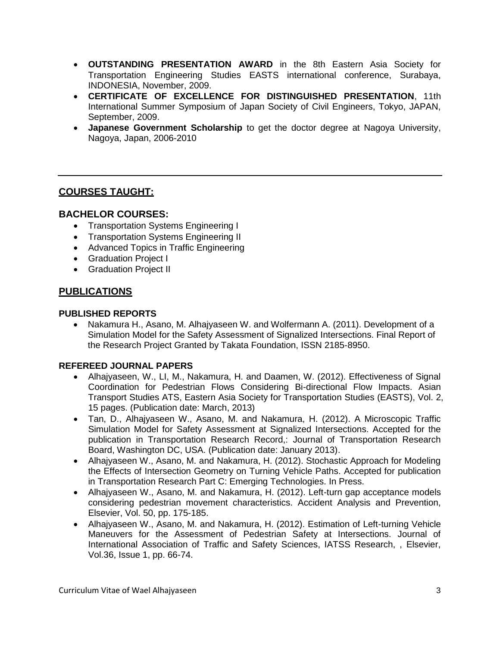- **OUTSTANDING PRESENTATION AWARD** in the 8th Eastern Asia Society for Transportation Engineering Studies EASTS international conference, Surabaya, INDONESIA, November, 2009.
- **CERTIFICATE OF EXCELLENCE FOR DISTINGUISHED PRESENTATION**, 11th International Summer Symposium of Japan Society of Civil Engineers, Tokyo, JAPAN, September, 2009.
- **Japanese Government Scholarship** to get the doctor degree at Nagoya University, Nagoya, Japan, 2006-2010

# **COURSES TAUGHT:**

## **BACHELOR COURSES:**

- Transportation Systems Engineering I
- **•** Transportation Systems Engineering II
- Advanced Topics in Traffic Engineering
- Graduation Project I
- **•** Graduation Project II

# **PUBLICATIONS**

#### **PUBLISHED REPORTS**

 Nakamura H., Asano, M. Alhajyaseen W. and Wolfermann A. (2011). Development of a Simulation Model for the Safety Assessment of Signalized Intersections. Final Report of the Research Project Granted by Takata Foundation, ISSN 2185-8950.

## **REFEREED JOURNAL PAPERS**

- Alhajyaseen, W., LI, M., Nakamura, H. and Daamen, W. (2012). Effectiveness of Signal Coordination for Pedestrian Flows Considering Bi-directional Flow Impacts. Asian Transport Studies ATS, Eastern Asia Society for Transportation Studies (EASTS), Vol. 2, 15 pages. (Publication date: March, 2013)
- Tan, D., Alhajyaseen W., Asano, M. and Nakamura, H. (2012). A Microscopic Traffic Simulation Model for Safety Assessment at Signalized Intersections. Accepted for the publication in Transportation Research Record,: Journal of Transportation Research Board, Washington DC, USA. (Publication date: January 2013).
- Alhajyaseen W., Asano, M. and Nakamura, H. (2012). Stochastic Approach for Modeling the Effects of Intersection Geometry on Turning Vehicle Paths. Accepted for publication in Transportation Research Part C: Emerging Technologies. In Press.
- Alhajyaseen W., Asano, M. and Nakamura, H. (2012). Left-turn gap acceptance models considering pedestrian movement characteristics. Accident Analysis and Prevention, Elsevier, Vol. 50, pp. 175-185.
- Alhajyaseen W., Asano, M. and Nakamura, H. (2012). Estimation of Left-turning Vehicle Maneuvers for the Assessment of Pedestrian Safety at Intersections. Journal of International Association of Traffic and Safety Sciences, IATSS Research, , Elsevier, Vol.36, Issue 1, pp. 66-74.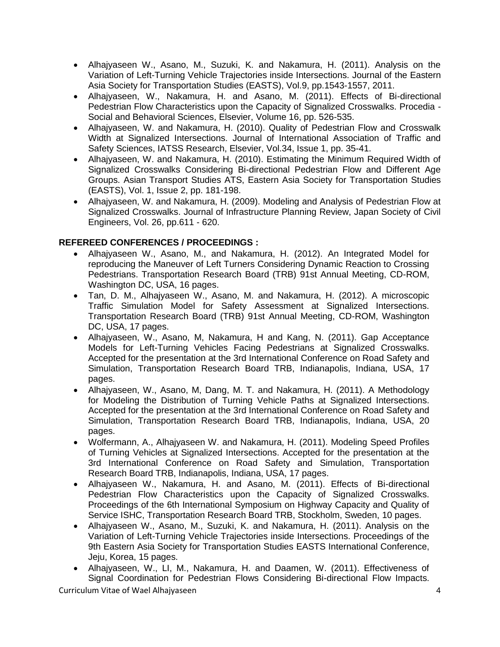- Alhajyaseen W., Asano, M., Suzuki, K. and Nakamura, H. (2011). Analysis on the Variation of Left-Turning Vehicle Trajectories inside Intersections. Journal of the Eastern Asia Society for Transportation Studies (EASTS), Vol.9, pp.1543-1557, 2011.
- Alhajyaseen, W., Nakamura, H. and Asano, M. (2011). Effects of Bi-directional Pedestrian Flow Characteristics upon the Capacity of Signalized Crosswalks. Procedia - Social and Behavioral Sciences, Elsevier, Volume 16, pp. 526-535.
- Alhajyaseen, W. and Nakamura, H. (2010). Quality of Pedestrian Flow and Crosswalk Width at Signalized Intersections. Journal of International Association of Traffic and Safety Sciences, IATSS Research, Elsevier, Vol.34, Issue 1, pp. 35-41.
- Alhajyaseen, W. and Nakamura, H. (2010). Estimating the Minimum Required Width of Signalized Crosswalks Considering Bi-directional Pedestrian Flow and Different Age Groups. Asian Transport Studies ATS, Eastern Asia Society for Transportation Studies (EASTS), Vol. 1, Issue 2, pp. 181-198.
- Alhajyaseen, W. and Nakamura, H. (2009). Modeling and Analysis of Pedestrian Flow at Signalized Crosswalks. Journal of Infrastructure Planning Review, Japan Society of Civil Engineers, Vol. 26, pp.611 - 620.

## **REFEREED CONFERENCES / PROCEEDINGS :**

- Alhajyaseen W., Asano, M., and Nakamura, H. (2012). An Integrated Model for reproducing the Maneuver of Left Turners Considering Dynamic Reaction to Crossing Pedestrians. Transportation Research Board (TRB) 91st Annual Meeting, CD-ROM, Washington DC, USA, 16 pages.
- Tan, D. M., Alhajyaseen W., Asano, M. and Nakamura, H. (2012). A microscopic Traffic Simulation Model for Safety Assessment at Signalized Intersections. Transportation Research Board (TRB) 91st Annual Meeting, CD-ROM, Washington DC, USA, 17 pages.
- Alhajyaseen, W., Asano, M, Nakamura, H and Kang, N. (2011). Gap Acceptance Models for Left-Turning Vehicles Facing Pedestrians at Signalized Crosswalks. Accepted for the presentation at the 3rd International Conference on Road Safety and Simulation, Transportation Research Board TRB, Indianapolis, Indiana, USA, 17 pages.
- Alhajyaseen, W., Asano, M, Dang, M. T. and Nakamura, H. (2011). A Methodology for Modeling the Distribution of Turning Vehicle Paths at Signalized Intersections. Accepted for the presentation at the 3rd International Conference on Road Safety and Simulation, Transportation Research Board TRB, Indianapolis, Indiana, USA, 20 pages.
- Wolfermann, A., Alhajyaseen W. and Nakamura, H. (2011). Modeling Speed Profiles of Turning Vehicles at Signalized Intersections. Accepted for the presentation at the 3rd International Conference on Road Safety and Simulation, Transportation Research Board TRB, Indianapolis, Indiana, USA, 17 pages.
- Alhajyaseen W., Nakamura, H. and Asano, M. (2011). Effects of Bi-directional Pedestrian Flow Characteristics upon the Capacity of Signalized Crosswalks. Proceedings of the 6th International Symposium on Highway Capacity and Quality of Service ISHC, Transportation Research Board TRB, Stockholm, Sweden, 10 pages.
- Alhajyaseen W., Asano, M., Suzuki, K. and Nakamura, H. (2011). Analysis on the Variation of Left-Turning Vehicle Trajectories inside Intersections. Proceedings of the 9th Eastern Asia Society for Transportation Studies EASTS International Conference, Jeju, Korea, 15 pages.
- Alhajyaseen, W., LI, M., Nakamura, H. and Daamen, W. (2011). Effectiveness of Signal Coordination for Pedestrian Flows Considering Bi-directional Flow Impacts.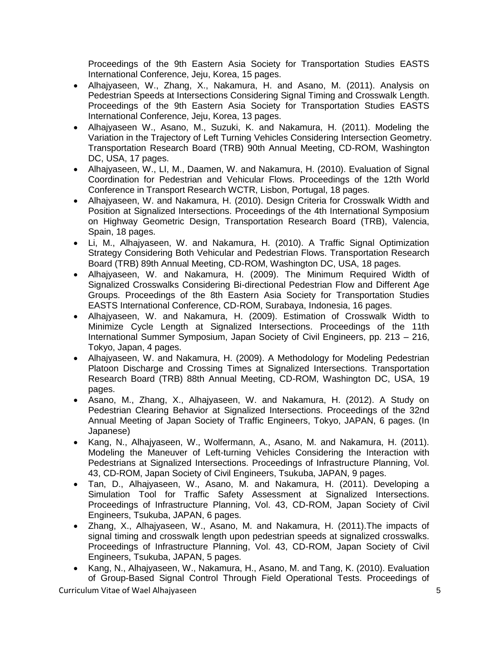Proceedings of the 9th Eastern Asia Society for Transportation Studies EASTS International Conference, Jeju, Korea, 15 pages.

- Alhajyaseen, W., Zhang, X., Nakamura, H. and Asano, M. (2011). Analysis on Pedestrian Speeds at Intersections Considering Signal Timing and Crosswalk Length. Proceedings of the 9th Eastern Asia Society for Transportation Studies EASTS International Conference, Jeju, Korea, 13 pages.
- Alhajyaseen W., Asano, M., Suzuki, K. and Nakamura, H. (2011). Modeling the Variation in the Trajectory of Left Turning Vehicles Considering Intersection Geometry. Transportation Research Board (TRB) 90th Annual Meeting, CD-ROM, Washington DC, USA, 17 pages.
- Alhajyaseen, W., LI, M., Daamen, W. and Nakamura, H. (2010). Evaluation of Signal Coordination for Pedestrian and Vehicular Flows. Proceedings of the 12th World Conference in Transport Research WCTR, Lisbon, Portugal, 18 pages.
- Alhajyaseen, W. and Nakamura, H. (2010). Design Criteria for Crosswalk Width and Position at Signalized Intersections. Proceedings of the 4th International Symposium on Highway Geometric Design, Transportation Research Board (TRB), Valencia, Spain, 18 pages.
- Li, M., Alhajyaseen, W. and Nakamura, H. (2010). A Traffic Signal Optimization Strategy Considering Both Vehicular and Pedestrian Flows. Transportation Research Board (TRB) 89th Annual Meeting, CD-ROM, Washington DC, USA, 18 pages.
- Alhajyaseen, W. and Nakamura, H. (2009). The Minimum Required Width of Signalized Crosswalks Considering Bi-directional Pedestrian Flow and Different Age Groups. Proceedings of the 8th Eastern Asia Society for Transportation Studies EASTS International Conference, CD-ROM, Surabaya, Indonesia, 16 pages.
- Alhajyaseen, W. and Nakamura, H. (2009). Estimation of Crosswalk Width to Minimize Cycle Length at Signalized Intersections. Proceedings of the 11th International Summer Symposium, Japan Society of Civil Engineers, pp. 213 – 216, Tokyo, Japan, 4 pages.
- Alhajyaseen, W. and Nakamura, H. (2009). A Methodology for Modeling Pedestrian Platoon Discharge and Crossing Times at Signalized Intersections. Transportation Research Board (TRB) 88th Annual Meeting, CD-ROM, Washington DC, USA, 19 pages.
- Asano, M., Zhang, X., Alhajyaseen, W. and Nakamura, H. (2012). A Study on Pedestrian Clearing Behavior at Signalized Intersections. Proceedings of the 32nd Annual Meeting of Japan Society of Traffic Engineers, Tokyo, JAPAN, 6 pages. (In Japanese)
- Kang, N., Alhajyaseen, W., Wolfermann, A., Asano, M. and Nakamura, H. (2011). Modeling the Maneuver of Left-turning Vehicles Considering the Interaction with Pedestrians at Signalized Intersections. Proceedings of Infrastructure Planning, Vol. 43, CD-ROM, Japan Society of Civil Engineers, Tsukuba, JAPAN, 9 pages.
- Tan, D., Alhajyaseen, W., Asano, M. and Nakamura, H. (2011). Developing a Simulation Tool for Traffic Safety Assessment at Signalized Intersections. Proceedings of Infrastructure Planning, Vol. 43, CD-ROM, Japan Society of Civil Engineers, Tsukuba, JAPAN, 6 pages.
- Zhang, X., Alhajyaseen, W., Asano, M. and Nakamura, H. (2011).The impacts of signal timing and crosswalk length upon pedestrian speeds at signalized crosswalks. Proceedings of Infrastructure Planning, Vol. 43, CD-ROM, Japan Society of Civil Engineers, Tsukuba, JAPAN, 5 pages.
- Kang, N., Alhajyaseen, W., Nakamura, H., Asano, M. and Tang, K. (2010). Evaluation of Group-Based Signal Control Through Field Operational Tests. Proceedings of